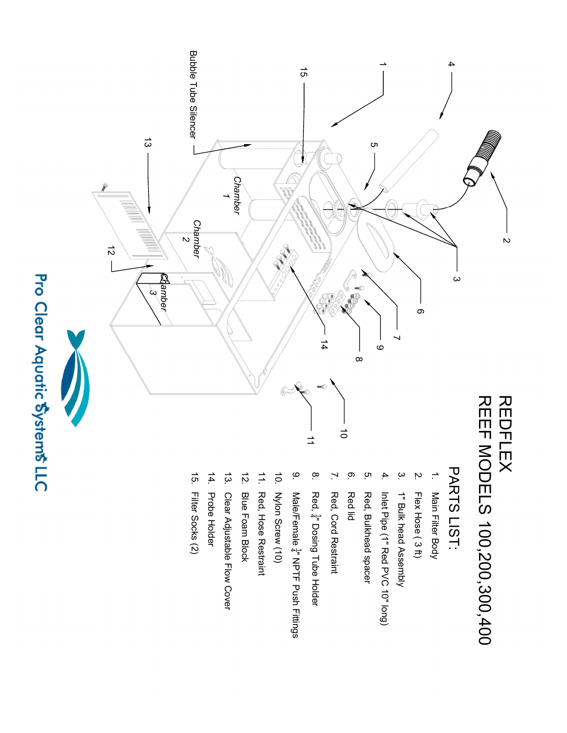